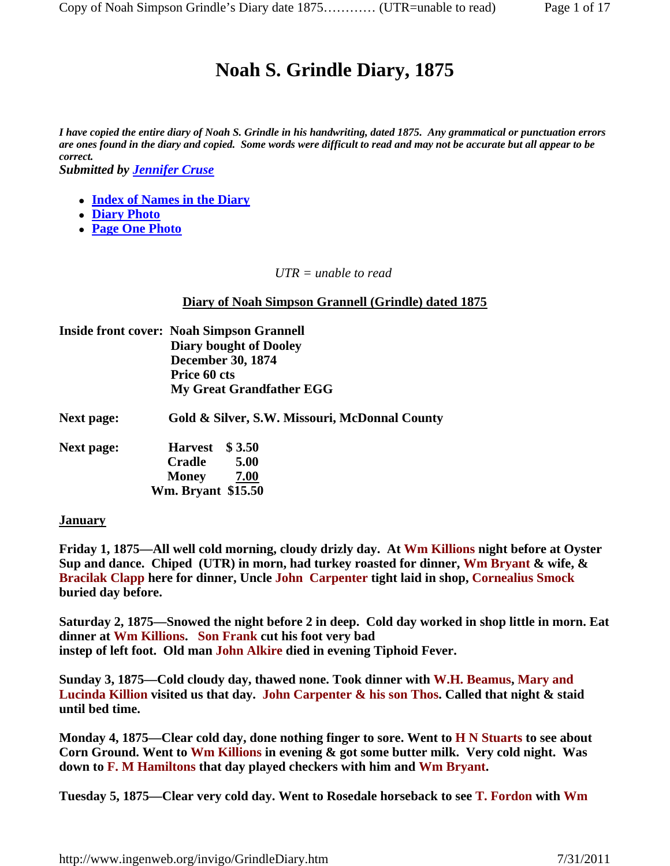# **Noah S. Grindle Diary, 1875**

*I have copied the entire diary of Noah S. Grindle in his handwriting, dated 1875. Any grammatical or punctuation errors are ones found in the diary and copied. Some words were difficult to read and may not be accurate but all appear to be correct.* 

*Submitted by Jennifer Cruse*

- **Index of Names in the Diary**
- **Diary Photo**
- **Page One Photo**

*UTR = unable to read*

**Diary of Noah Simpson Grannell (Grindle) dated 1875**

|                   | <b>Inside front cover: Noah Simpson Grannell</b> |
|-------------------|--------------------------------------------------|
|                   | <b>Diary bought of Dooley</b>                    |
|                   | <b>December 30, 1874</b>                         |
|                   | Price 60 cts                                     |
|                   | <b>My Great Grandfather EGG</b>                  |
| <b>Next page:</b> | Gold & Silver, S.W. Missouri, McDonnal County    |
| <b>Next page:</b> | Harvest \$3.50                                   |
|                   | 5.00<br><b>Cradle</b>                            |
|                   | <b>Money</b><br>7.00                             |
|                   | <b>Wm. Bryant \$15.50</b>                        |
|                   |                                                  |

## **January**

**Friday 1, 1875—All well cold morning, cloudy drizly day. At Wm Killions night before at Oyster Sup and dance. Chiped (UTR) in morn, had turkey roasted for dinner, Wm Bryant & wife, & Bracilak Clapp here for dinner, Uncle John Carpenter tight laid in shop, Cornealius Smock buried day before.**

**Saturday 2, 1875—Snowed the night before 2 in deep. Cold day worked in shop little in morn. Eat dinner at Wm Killions. Son Frank cut his foot very bad instep of left foot. Old man John Alkire died in evening Tiphoid Fever.**

**Sunday 3, 1875—Cold cloudy day, thawed none. Took dinner with W.H. Beamus, Mary and Lucinda Killion visited us that day. John Carpenter & his son Thos. Called that night & staid until bed time.**

**Monday 4, 1875—Clear cold day, done nothing finger to sore. Went to H N Stuarts to see about Corn Ground. Went to Wm Killions in evening & got some butter milk. Very cold night. Was down to F. M Hamiltons that day played checkers with him and Wm Bryant.**

**Tuesday 5, 1875—Clear very cold day. Went to Rosedale horseback to see T. Fordon with Wm**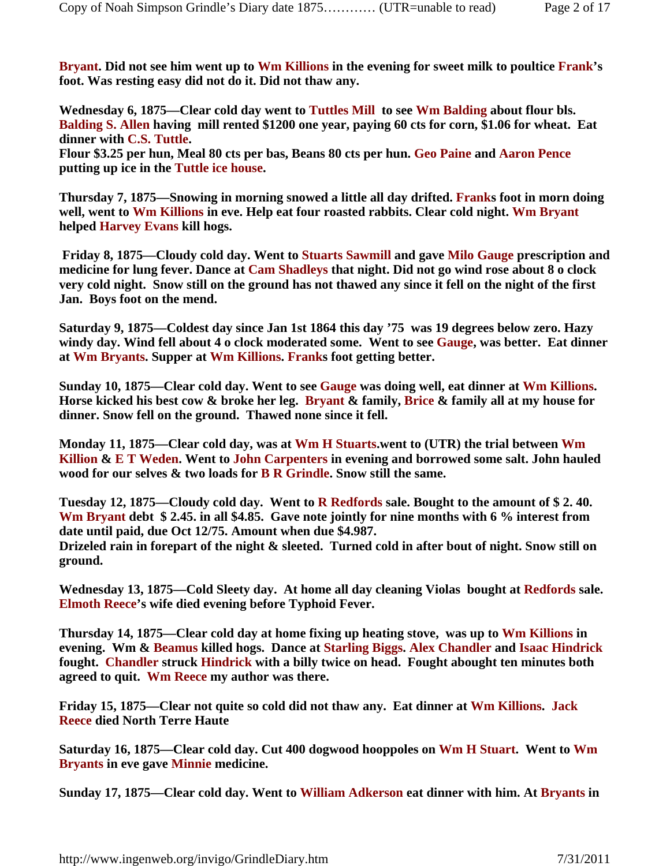**Bryant. Did not see him went up to Wm Killions in the evening for sweet milk to poultice Frank's foot. Was resting easy did not do it. Did not thaw any.** 

**Wednesday 6, 1875—Clear cold day went to Tuttles Mill to see Wm Balding about flour bls. Balding S. Allen having mill rented \$1200 one year, paying 60 cts for corn, \$1.06 for wheat. Eat dinner with C.S. Tuttle.**

**Flour \$3.25 per hun, Meal 80 cts per bas, Beans 80 cts per hun. Geo Paine and Aaron Pence putting up ice in the Tuttle ice house.**

**Thursday 7, 1875—Snowing in morning snowed a little all day drifted. Franks foot in morn doing well, went to Wm Killions in eve. Help eat four roasted rabbits. Clear cold night. Wm Bryant helped Harvey Evans kill hogs.**

 **Friday 8, 1875—Cloudy cold day. Went to Stuarts Sawmill and gave Milo Gauge prescription and medicine for lung fever. Dance at Cam Shadleys that night. Did not go wind rose about 8 o clock very cold night. Snow still on the ground has not thawed any since it fell on the night of the first Jan. Boys foot on the mend.**

**Saturday 9, 1875—Coldest day since Jan 1st 1864 this day '75 was 19 degrees below zero. Hazy windy day. Wind fell about 4 o clock moderated some. Went to see Gauge, was better. Eat dinner at Wm Bryants. Supper at Wm Killions. Franks foot getting better.**

**Sunday 10, 1875—Clear cold day. Went to see Gauge was doing well, eat dinner at Wm Killions. Horse kicked his best cow & broke her leg. Bryant & family, Brice & family all at my house for dinner. Snow fell on the ground. Thawed none since it fell.**

**Monday 11, 1875—Clear cold day, was at Wm H Stuarts.went to (UTR) the trial between Wm Killion & E T Weden. Went to John Carpenters in evening and borrowed some salt. John hauled wood for our selves & two loads for B R Grindle. Snow still the same.**

**Tuesday 12, 1875—Cloudy cold day. Went to R Redfords sale. Bought to the amount of \$ 2. 40. Wm Bryant debt \$ 2.45. in all \$4.85. Gave note jointly for nine months with 6 % interest from date until paid, due Oct 12/75. Amount when due \$4.987.**

**Drizeled rain in forepart of the night & sleeted. Turned cold in after bout of night. Snow still on ground.**

**Wednesday 13, 1875—Cold Sleety day. At home all day cleaning Violas bought at Redfords sale. Elmoth Reece's wife died evening before Typhoid Fever.** 

**Thursday 14, 1875—Clear cold day at home fixing up heating stove, was up to Wm Killions in evening. Wm & Beamus killed hogs. Dance at Starling Biggs. Alex Chandler and Isaac Hindrick fought. Chandler struck Hindrick with a billy twice on head. Fought abought ten minutes both agreed to quit. Wm Reece my author was there.**

**Friday 15, 1875—Clear not quite so cold did not thaw any. Eat dinner at Wm Killions. Jack Reece died North Terre Haute**

**Saturday 16, 1875—Clear cold day. Cut 400 dogwood hooppoles on Wm H Stuart. Went to Wm Bryants in eve gave Minnie medicine.**

**Sunday 17, 1875—Clear cold day. Went to William Adkerson eat dinner with him. At Bryants in**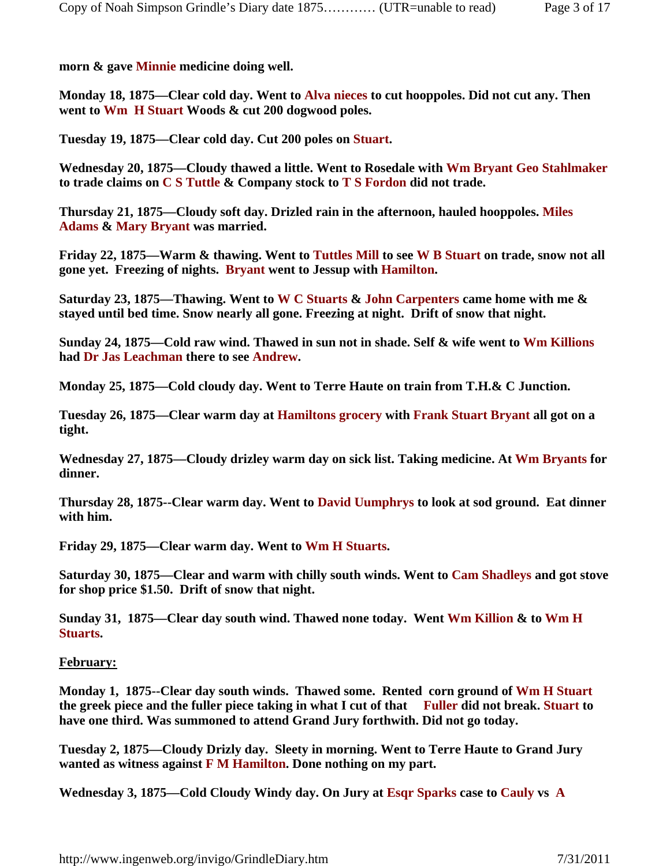**morn & gave Minnie medicine doing well.**

**Monday 18, 1875—Clear cold day. Went to Alva nieces to cut hooppoles. Did not cut any. Then went to Wm H Stuart Woods & cut 200 dogwood poles.**

**Tuesday 19, 1875—Clear cold day. Cut 200 poles on Stuart.**

**Wednesday 20, 1875—Cloudy thawed a little. Went to Rosedale with Wm Bryant Geo Stahlmaker to trade claims on C S Tuttle & Company stock to T S Fordon did not trade.**

**Thursday 21, 1875—Cloudy soft day. Drizled rain in the afternoon, hauled hooppoles. Miles Adams & Mary Bryant was married.**

**Friday 22, 1875—Warm & thawing. Went to Tuttles Mill to see W B Stuart on trade, snow not all gone yet. Freezing of nights. Bryant went to Jessup with Hamilton.**

**Saturday 23, 1875—Thawing. Went to W C Stuarts & John Carpenters came home with me & stayed until bed time. Snow nearly all gone. Freezing at night. Drift of snow that night.**

**Sunday 24, 1875—Cold raw wind. Thawed in sun not in shade. Self & wife went to Wm Killions had Dr Jas Leachman there to see Andrew.** 

**Monday 25, 1875—Cold cloudy day. Went to Terre Haute on train from T.H.& C Junction.**

**Tuesday 26, 1875—Clear warm day at Hamiltons grocery with Frank Stuart Bryant all got on a tight.**

**Wednesday 27, 1875—Cloudy drizley warm day on sick list. Taking medicine. At Wm Bryants for dinner.**

**Thursday 28, 1875--Clear warm day. Went to David Uumphrys to look at sod ground. Eat dinner with him.**

**Friday 29, 1875—Clear warm day. Went to Wm H Stuarts.**

**Saturday 30, 1875—Clear and warm with chilly south winds. Went to Cam Shadleys and got stove for shop price \$1.50. Drift of snow that night.**

**Sunday 31, 1875—Clear day south wind. Thawed none today. Went Wm Killion & to Wm H Stuarts.**

## **February:**

**Monday 1, 1875--Clear day south winds. Thawed some. Rented corn ground of Wm H Stuart the greek piece and the fuller piece taking in what I cut of that Fuller did not break. Stuart to have one third. Was summoned to attend Grand Jury forthwith. Did not go today.**

**Tuesday 2, 1875—Cloudy Drizly day. Sleety in morning. Went to Terre Haute to Grand Jury wanted as witness against F M Hamilton. Done nothing on my part.**

**Wednesday 3, 1875—Cold Cloudy Windy day. On Jury at Esqr Sparks case to Cauly vs A**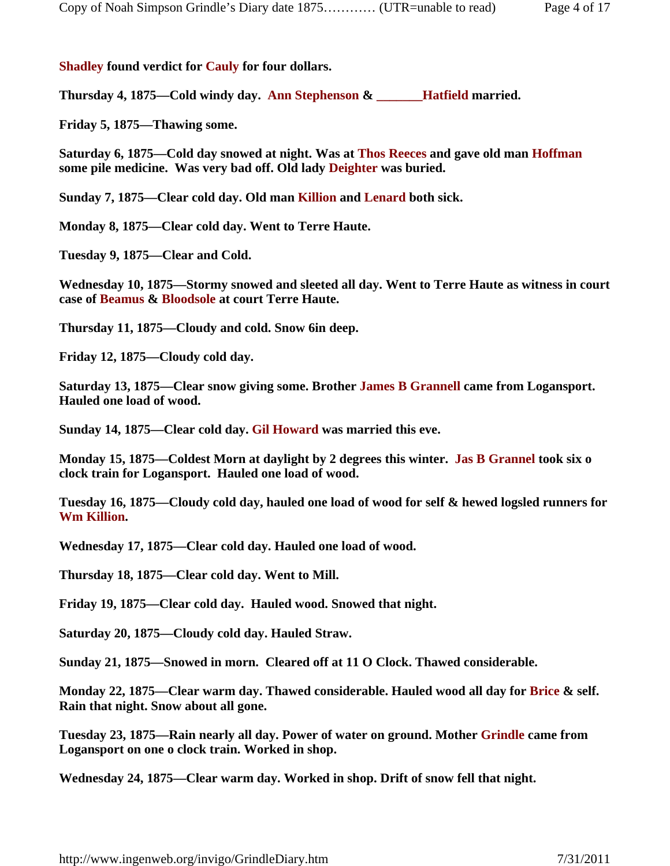## **Shadley found verdict for Cauly for four dollars.**

**Thursday 4, 1875—Cold windy day. Ann Stephenson & \_\_\_\_\_\_\_Hatfield married.** 

**Friday 5, 1875—Thawing some.**

**Saturday 6, 1875—Cold day snowed at night. Was at Thos Reeces and gave old man Hoffman some pile medicine. Was very bad off. Old lady Deighter was buried.**

**Sunday 7, 1875—Clear cold day. Old man Killion and Lenard both sick.** 

**Monday 8, 1875—Clear cold day. Went to Terre Haute.**

**Tuesday 9, 1875—Clear and Cold.**

**Wednesday 10, 1875—Stormy snowed and sleeted all day. Went to Terre Haute as witness in court case of Beamus & Bloodsole at court Terre Haute.** 

**Thursday 11, 1875—Cloudy and cold. Snow 6in deep.**

**Friday 12, 1875—Cloudy cold day.**

**Saturday 13, 1875—Clear snow giving some. Brother James B Grannell came from Logansport. Hauled one load of wood.**

**Sunday 14, 1875—Clear cold day. Gil Howard was married this eve.**

**Monday 15, 1875—Coldest Morn at daylight by 2 degrees this winter. Jas B Grannel took six o clock train for Logansport. Hauled one load of wood.**

**Tuesday 16, 1875—Cloudy cold day, hauled one load of wood for self & hewed logsled runners for Wm Killion.**

**Wednesday 17, 1875—Clear cold day. Hauled one load of wood.**

**Thursday 18, 1875—Clear cold day. Went to Mill.**

**Friday 19, 1875—Clear cold day. Hauled wood. Snowed that night.**

**Saturday 20, 1875—Cloudy cold day. Hauled Straw.**

**Sunday 21, 1875—Snowed in morn. Cleared off at 11 O Clock. Thawed considerable.**

**Monday 22, 1875—Clear warm day. Thawed considerable. Hauled wood all day for Brice & self. Rain that night. Snow about all gone.**

**Tuesday 23, 1875—Rain nearly all day. Power of water on ground. Mother Grindle came from Logansport on one o clock train. Worked in shop.** 

**Wednesday 24, 1875—Clear warm day. Worked in shop. Drift of snow fell that night.**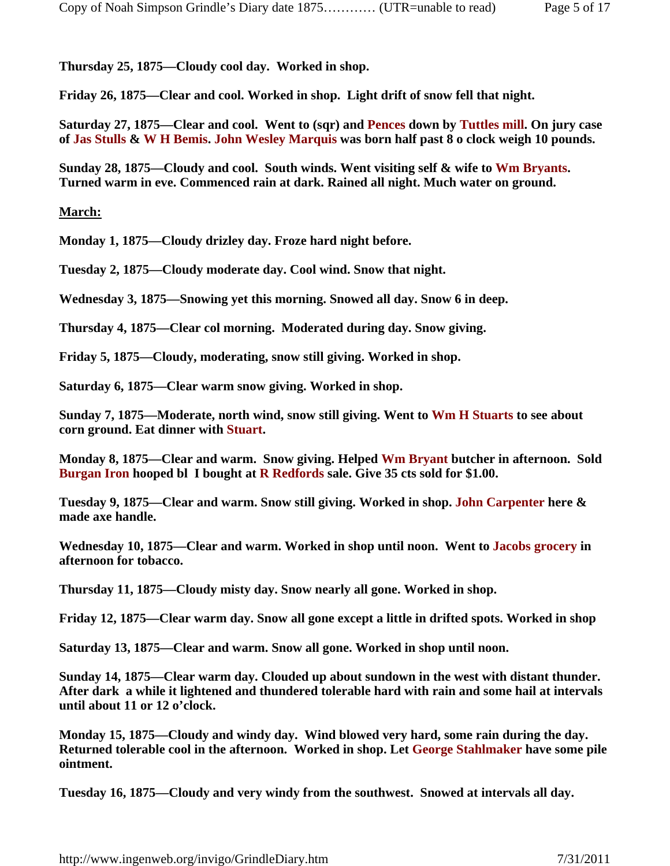**Thursday 25, 1875—Cloudy cool day. Worked in shop.**

**Friday 26, 1875—Clear and cool. Worked in shop. Light drift of snow fell that night.**

**Saturday 27, 1875—Clear and cool. Went to (sqr) and Pences down by Tuttles mill. On jury case of Jas Stulls & W H Bemis. John Wesley Marquis was born half past 8 o clock weigh 10 pounds.** 

**Sunday 28, 1875—Cloudy and cool. South winds. Went visiting self & wife to Wm Bryants. Turned warm in eve. Commenced rain at dark. Rained all night. Much water on ground.** 

## **March:**

**Monday 1, 1875—Cloudy drizley day. Froze hard night before.**

**Tuesday 2, 1875—Cloudy moderate day. Cool wind. Snow that night.**

**Wednesday 3, 1875—Snowing yet this morning. Snowed all day. Snow 6 in deep.**

**Thursday 4, 1875—Clear col morning. Moderated during day. Snow giving.**

**Friday 5, 1875—Cloudy, moderating, snow still giving. Worked in shop.**

**Saturday 6, 1875—Clear warm snow giving. Worked in shop.**

**Sunday 7, 1875—Moderate, north wind, snow still giving. Went to Wm H Stuarts to see about corn ground. Eat dinner with Stuart.**

**Monday 8, 1875—Clear and warm. Snow giving. Helped Wm Bryant butcher in afternoon. Sold Burgan Iron hooped bl I bought at R Redfords sale. Give 35 cts sold for \$1.00.**

**Tuesday 9, 1875—Clear and warm. Snow still giving. Worked in shop. John Carpenter here & made axe handle.**

**Wednesday 10, 1875—Clear and warm. Worked in shop until noon. Went to Jacobs grocery in afternoon for tobacco.**

**Thursday 11, 1875—Cloudy misty day. Snow nearly all gone. Worked in shop.**

**Friday 12, 1875—Clear warm day. Snow all gone except a little in drifted spots. Worked in shop**

**Saturday 13, 1875—Clear and warm. Snow all gone. Worked in shop until noon.**

**Sunday 14, 1875—Clear warm day. Clouded up about sundown in the west with distant thunder. After dark a while it lightened and thundered tolerable hard with rain and some hail at intervals until about 11 or 12 o'clock.** 

**Monday 15, 1875—Cloudy and windy day. Wind blowed very hard, some rain during the day. Returned tolerable cool in the afternoon. Worked in shop. Let George Stahlmaker have some pile ointment.**

**Tuesday 16, 1875—Cloudy and very windy from the southwest. Snowed at intervals all day.**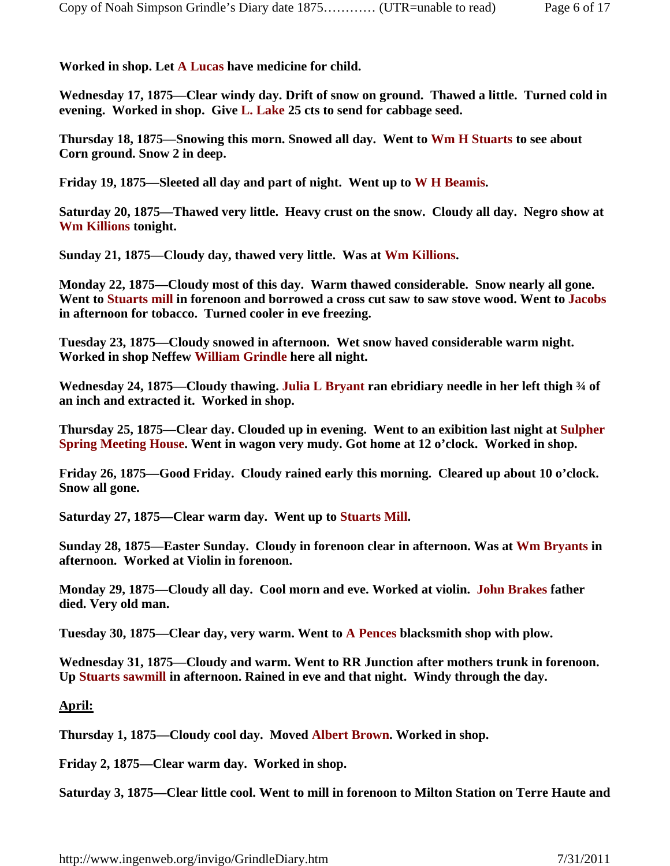**Worked in shop. Let A Lucas have medicine for child.**

**Wednesday 17, 1875—Clear windy day. Drift of snow on ground. Thawed a little. Turned cold in evening. Worked in shop. Give L. Lake 25 cts to send for cabbage seed.** 

**Thursday 18, 1875—Snowing this morn. Snowed all day. Went to Wm H Stuarts to see about Corn ground. Snow 2 in deep.**

**Friday 19, 1875—Sleeted all day and part of night. Went up to W H Beamis.** 

**Saturday 20, 1875—Thawed very little. Heavy crust on the snow. Cloudy all day. Negro show at Wm Killions tonight.** 

**Sunday 21, 1875—Cloudy day, thawed very little. Was at Wm Killions.**

**Monday 22, 1875—Cloudy most of this day. Warm thawed considerable. Snow nearly all gone. Went to Stuarts mill in forenoon and borrowed a cross cut saw to saw stove wood. Went to Jacobs in afternoon for tobacco. Turned cooler in eve freezing.** 

**Tuesday 23, 1875—Cloudy snowed in afternoon. Wet snow haved considerable warm night. Worked in shop Neffew William Grindle here all night.**

**Wednesday 24, 1875—Cloudy thawing. Julia L Bryant ran ebridiary needle in her left thigh ¾ of an inch and extracted it. Worked in shop.**

**Thursday 25, 1875—Clear day. Clouded up in evening. Went to an exibition last night at Sulpher Spring Meeting House. Went in wagon very mudy. Got home at 12 o'clock. Worked in shop.**

**Friday 26, 1875—Good Friday. Cloudy rained early this morning. Cleared up about 10 o'clock. Snow all gone.**

**Saturday 27, 1875—Clear warm day. Went up to Stuarts Mill.**

**Sunday 28, 1875—Easter Sunday. Cloudy in forenoon clear in afternoon. Was at Wm Bryants in afternoon. Worked at Violin in forenoon.**

**Monday 29, 1875—Cloudy all day. Cool morn and eve. Worked at violin. John Brakes father died. Very old man.**

**Tuesday 30, 1875—Clear day, very warm. Went to A Pences blacksmith shop with plow.**

**Wednesday 31, 1875—Cloudy and warm. Went to RR Junction after mothers trunk in forenoon. Up Stuarts sawmill in afternoon. Rained in eve and that night. Windy through the day.**

## **April:**

**Thursday 1, 1875—Cloudy cool day. Moved Albert Brown. Worked in shop.**

**Friday 2, 1875—Clear warm day. Worked in shop.**

**Saturday 3, 1875—Clear little cool. Went to mill in forenoon to Milton Station on Terre Haute and**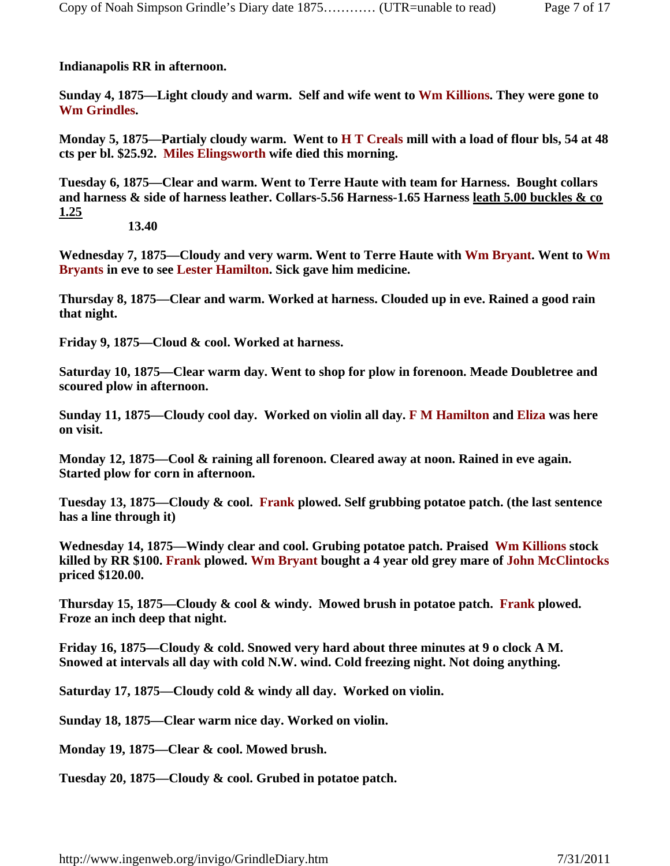**Indianapolis RR in afternoon.** 

**Sunday 4, 1875—Light cloudy and warm. Self and wife went to Wm Killions. They were gone to Wm Grindles.**

**Monday 5, 1875—Partialy cloudy warm. Went to H T Creals mill with a load of flour bls, 54 at 48 cts per bl. \$25.92. Miles Elingsworth wife died this morning.**

**Tuesday 6, 1875—Clear and warm. Went to Terre Haute with team for Harness. Bought collars and harness & side of harness leather. Collars-5.56 Harness-1.65 Harness leath 5.00 buckles & co 1.25**

 **13.40**

**Wednesday 7, 1875—Cloudy and very warm. Went to Terre Haute with Wm Bryant. Went to Wm Bryants in eve to see Lester Hamilton. Sick gave him medicine.**

**Thursday 8, 1875—Clear and warm. Worked at harness. Clouded up in eve. Rained a good rain that night.**

**Friday 9, 1875—Cloud & cool. Worked at harness.**

**Saturday 10, 1875—Clear warm day. Went to shop for plow in forenoon. Meade Doubletree and scoured plow in afternoon.** 

**Sunday 11, 1875—Cloudy cool day. Worked on violin all day. F M Hamilton and Eliza was here on visit.**

**Monday 12, 1875—Cool & raining all forenoon. Cleared away at noon. Rained in eve again. Started plow for corn in afternoon.** 

**Tuesday 13, 1875—Cloudy & cool. Frank plowed. Self grubbing potatoe patch. (the last sentence has a line through it)**

**Wednesday 14, 1875—Windy clear and cool. Grubing potatoe patch. Praised Wm Killions stock killed by RR \$100. Frank plowed. Wm Bryant bought a 4 year old grey mare of John McClintocks priced \$120.00.**

**Thursday 15, 1875—Cloudy & cool & windy. Mowed brush in potatoe patch. Frank plowed. Froze an inch deep that night.**

**Friday 16, 1875—Cloudy & cold. Snowed very hard about three minutes at 9 o clock A M. Snowed at intervals all day with cold N.W. wind. Cold freezing night. Not doing anything.**

**Saturday 17, 1875—Cloudy cold & windy all day. Worked on violin.**

**Sunday 18, 1875—Clear warm nice day. Worked on violin.**

**Monday 19, 1875—Clear & cool. Mowed brush.**

**Tuesday 20, 1875—Cloudy & cool. Grubed in potatoe patch.**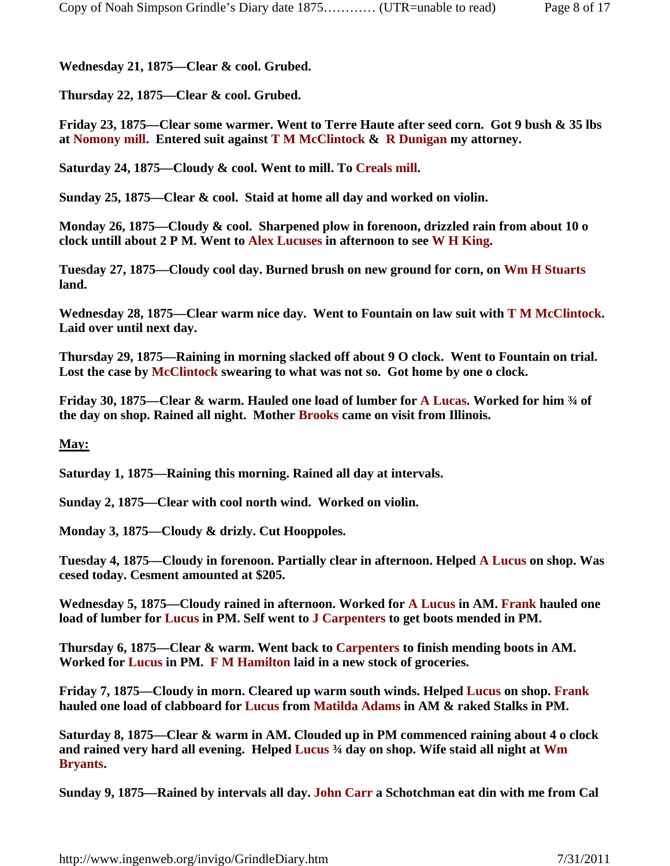**Wednesday 21, 1875—Clear & cool. Grubed.**

**Thursday 22, 1875—Clear & cool. Grubed.**

**Friday 23, 1875—Clear some warmer. Went to Terre Haute after seed corn. Got 9 bush & 35 lbs at Nomony mill. Entered suit against T M McClintock & R Dunigan my attorney.**

**Saturday 24, 1875—Cloudy & cool. Went to mill. To Creals mill.**

**Sunday 25, 1875—Clear & cool. Staid at home all day and worked on violin.**

**Monday 26, 1875—Cloudy & cool. Sharpened plow in forenoon, drizzled rain from about 10 o clock untill about 2 P M. Went to Alex Lucuses in afternoon to see W H King.**

**Tuesday 27, 1875—Cloudy cool day. Burned brush on new ground for corn, on Wm H Stuarts land.**

**Wednesday 28, 1875—Clear warm nice day. Went to Fountain on law suit with T M McClintock. Laid over until next day.**

**Thursday 29, 1875—Raining in morning slacked off about 9 O clock. Went to Fountain on trial. Lost the case by McClintock swearing to what was not so. Got home by one o clock.**

**Friday 30, 1875—Clear & warm. Hauled one load of lumber for A Lucas. Worked for him ¾ of the day on shop. Rained all night. Mother Brooks came on visit from Illinois.** 

## **May:**

**Saturday 1, 1875—Raining this morning. Rained all day at intervals.**

**Sunday 2, 1875—Clear with cool north wind. Worked on violin.**

**Monday 3, 1875—Cloudy & drizly. Cut Hooppoles.**

**Tuesday 4, 1875—Cloudy in forenoon. Partially clear in afternoon. Helped A Lucus on shop. Was cesed today. Cesment amounted at \$205.**

**Wednesday 5, 1875—Cloudy rained in afternoon. Worked for A Lucus in AM. Frank hauled one load of lumber for Lucus in PM. Self went to J Carpenters to get boots mended in PM.**

**Thursday 6, 1875—Clear & warm. Went back to Carpenters to finish mending boots in AM. Worked for Lucus in PM. F M Hamilton laid in a new stock of groceries.** 

**Friday 7, 1875—Cloudy in morn. Cleared up warm south winds. Helped Lucus on shop. Frank hauled one load of clabboard for Lucus from Matilda Adams in AM & raked Stalks in PM.**

**Saturday 8, 1875—Clear & warm in AM. Clouded up in PM commenced raining about 4 o clock and rained very hard all evening. Helped Lucus ¾ day on shop. Wife staid all night at Wm Bryants.**

**Sunday 9, 1875—Rained by intervals all day. John Carr a Schotchman eat din with me from Cal**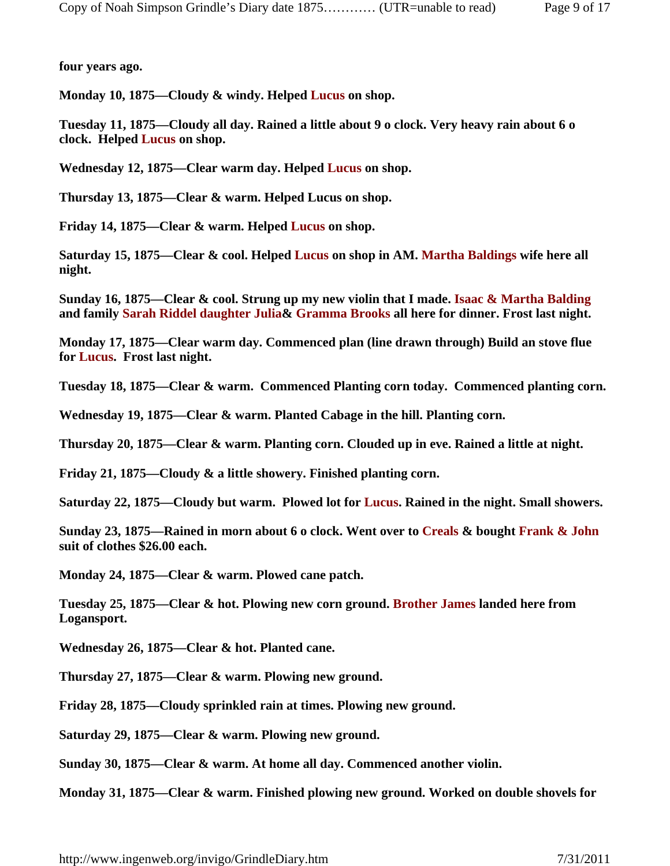**four years ago.** 

**Monday 10, 1875—Cloudy & windy. Helped Lucus on shop.**

**Tuesday 11, 1875—Cloudy all day. Rained a little about 9 o clock. Very heavy rain about 6 o clock. Helped Lucus on shop.**

**Wednesday 12, 1875—Clear warm day. Helped Lucus on shop.**

**Thursday 13, 1875—Clear & warm. Helped Lucus on shop.**

**Friday 14, 1875—Clear & warm. Helped Lucus on shop.**

**Saturday 15, 1875—Clear & cool. Helped Lucus on shop in AM. Martha Baldings wife here all night.** 

**Sunday 16, 1875—Clear & cool. Strung up my new violin that I made. Isaac & Martha Balding and family Sarah Riddel daughter Julia& Gramma Brooks all here for dinner. Frost last night.**

**Monday 17, 1875—Clear warm day. Commenced plan (line drawn through) Build an stove flue for Lucus. Frost last night.**

**Tuesday 18, 1875—Clear & warm. Commenced Planting corn today. Commenced planting corn.**

**Wednesday 19, 1875—Clear & warm. Planted Cabage in the hill. Planting corn.**

**Thursday 20, 1875—Clear & warm. Planting corn. Clouded up in eve. Rained a little at night.**

**Friday 21, 1875—Cloudy & a little showery. Finished planting corn.**

**Saturday 22, 1875—Cloudy but warm. Plowed lot for Lucus. Rained in the night. Small showers.**

**Sunday 23, 1875—Rained in morn about 6 o clock. Went over to Creals & bought Frank & John suit of clothes \$26.00 each.**

**Monday 24, 1875—Clear & warm. Plowed cane patch.**

**Tuesday 25, 1875—Clear & hot. Plowing new corn ground. Brother James landed here from Logansport.**

**Wednesday 26, 1875—Clear & hot. Planted cane.**

**Thursday 27, 1875—Clear & warm. Plowing new ground.**

**Friday 28, 1875—Cloudy sprinkled rain at times. Plowing new ground.**

**Saturday 29, 1875—Clear & warm. Plowing new ground.**

**Sunday 30, 1875—Clear & warm. At home all day. Commenced another violin.**

**Monday 31, 1875—Clear & warm. Finished plowing new ground. Worked on double shovels for**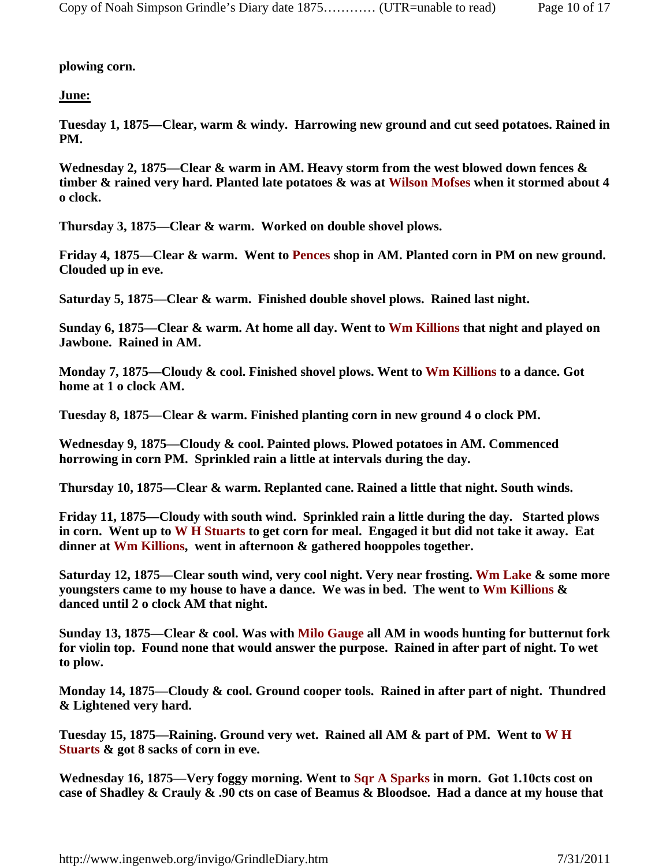**plowing corn.**

**June:**

**Tuesday 1, 1875—Clear, warm & windy. Harrowing new ground and cut seed potatoes. Rained in PM.**

**Wednesday 2, 1875—Clear & warm in AM. Heavy storm from the west blowed down fences & timber & rained very hard. Planted late potatoes & was at Wilson Mofses when it stormed about 4 o clock.**

**Thursday 3, 1875—Clear & warm. Worked on double shovel plows.**

**Friday 4, 1875—Clear & warm. Went to Pences shop in AM. Planted corn in PM on new ground. Clouded up in eve.**

**Saturday 5, 1875—Clear & warm. Finished double shovel plows. Rained last night.** 

**Sunday 6, 1875—Clear & warm. At home all day. Went to Wm Killions that night and played on Jawbone. Rained in AM.**

**Monday 7, 1875—Cloudy & cool. Finished shovel plows. Went to Wm Killions to a dance. Got home at 1 o clock AM.**

**Tuesday 8, 1875—Clear & warm. Finished planting corn in new ground 4 o clock PM.**

**Wednesday 9, 1875—Cloudy & cool. Painted plows. Plowed potatoes in AM. Commenced horrowing in corn PM. Sprinkled rain a little at intervals during the day.**

**Thursday 10, 1875—Clear & warm. Replanted cane. Rained a little that night. South winds.** 

**Friday 11, 1875—Cloudy with south wind. Sprinkled rain a little during the day. Started plows in corn. Went up to W H Stuarts to get corn for meal. Engaged it but did not take it away. Eat dinner at Wm Killions, went in afternoon & gathered hooppoles together.**

**Saturday 12, 1875—Clear south wind, very cool night. Very near frosting. Wm Lake & some more youngsters came to my house to have a dance. We was in bed. The went to Wm Killions & danced until 2 o clock AM that night.**

**Sunday 13, 1875—Clear & cool. Was with Milo Gauge all AM in woods hunting for butternut fork for violin top. Found none that would answer the purpose. Rained in after part of night. To wet to plow.** 

**Monday 14, 1875—Cloudy & cool. Ground cooper tools. Rained in after part of night. Thundred & Lightened very hard.**

**Tuesday 15, 1875—Raining. Ground very wet. Rained all AM & part of PM. Went to W H Stuarts & got 8 sacks of corn in eve.**

**Wednesday 16, 1875—Very foggy morning. Went to Sqr A Sparks in morn. Got 1.10cts cost on case of Shadley & Crauly & .90 cts on case of Beamus & Bloodsoe. Had a dance at my house that**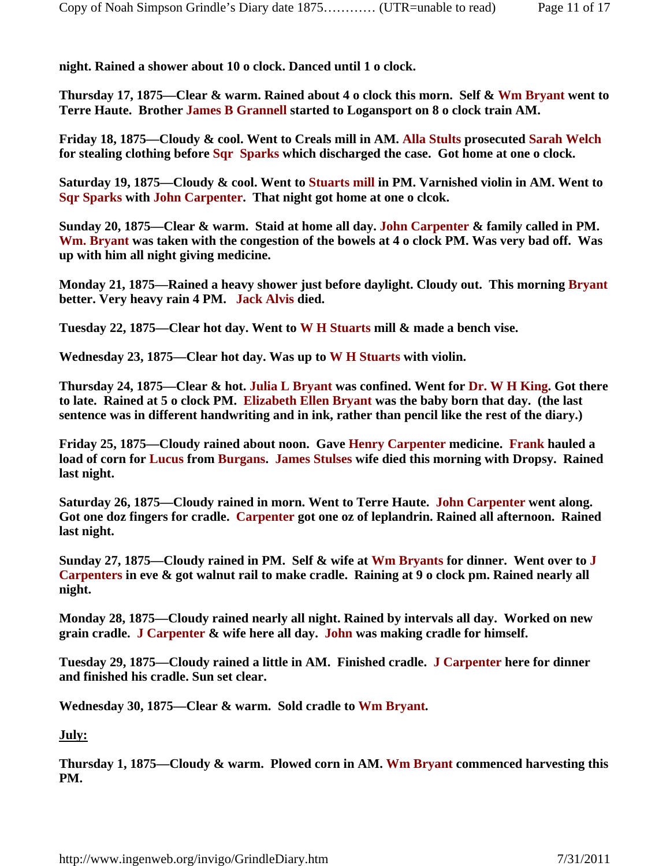**night. Rained a shower about 10 o clock. Danced until 1 o clock.** 

**Thursday 17, 1875—Clear & warm. Rained about 4 o clock this morn. Self & Wm Bryant went to Terre Haute. Brother James B Grannell started to Logansport on 8 o clock train AM.**

**Friday 18, 1875—Cloudy & cool. Went to Creals mill in AM. Alla Stults prosecuted Sarah Welch for stealing clothing before Sqr Sparks which discharged the case. Got home at one o clock.** 

**Saturday 19, 1875—Cloudy & cool. Went to Stuarts mill in PM. Varnished violin in AM. Went to Sqr Sparks with John Carpenter. That night got home at one o clcok.**

**Sunday 20, 1875—Clear & warm. Staid at home all day. John Carpenter & family called in PM. Wm. Bryant was taken with the congestion of the bowels at 4 o clock PM. Was very bad off. Was up with him all night giving medicine.**

**Monday 21, 1875—Rained a heavy shower just before daylight. Cloudy out. This morning Bryant better. Very heavy rain 4 PM. Jack Alvis died.**

**Tuesday 22, 1875—Clear hot day. Went to W H Stuarts mill & made a bench vise.**

**Wednesday 23, 1875—Clear hot day. Was up to W H Stuarts with violin.**

**Thursday 24, 1875—Clear & hot. Julia L Bryant was confined. Went for Dr. W H King. Got there to late. Rained at 5 o clock PM. Elizabeth Ellen Bryant was the baby born that day. (the last sentence was in different handwriting and in ink, rather than pencil like the rest of the diary.)**

**Friday 25, 1875—Cloudy rained about noon. Gave Henry Carpenter medicine. Frank hauled a load of corn for Lucus from Burgans. James Stulses wife died this morning with Dropsy. Rained last night.** 

**Saturday 26, 1875—Cloudy rained in morn. Went to Terre Haute. John Carpenter went along. Got one doz fingers for cradle. Carpenter got one oz of leplandrin. Rained all afternoon. Rained last night.**

**Sunday 27, 1875—Cloudy rained in PM. Self & wife at Wm Bryants for dinner. Went over to J Carpenters in eve & got walnut rail to make cradle. Raining at 9 o clock pm. Rained nearly all night.** 

**Monday 28, 1875—Cloudy rained nearly all night. Rained by intervals all day. Worked on new grain cradle. J Carpenter & wife here all day. John was making cradle for himself.** 

**Tuesday 29, 1875—Cloudy rained a little in AM. Finished cradle. J Carpenter here for dinner and finished his cradle. Sun set clear.**

**Wednesday 30, 1875—Clear & warm. Sold cradle to Wm Bryant.**

**July:**

**Thursday 1, 1875—Cloudy & warm. Plowed corn in AM. Wm Bryant commenced harvesting this PM.**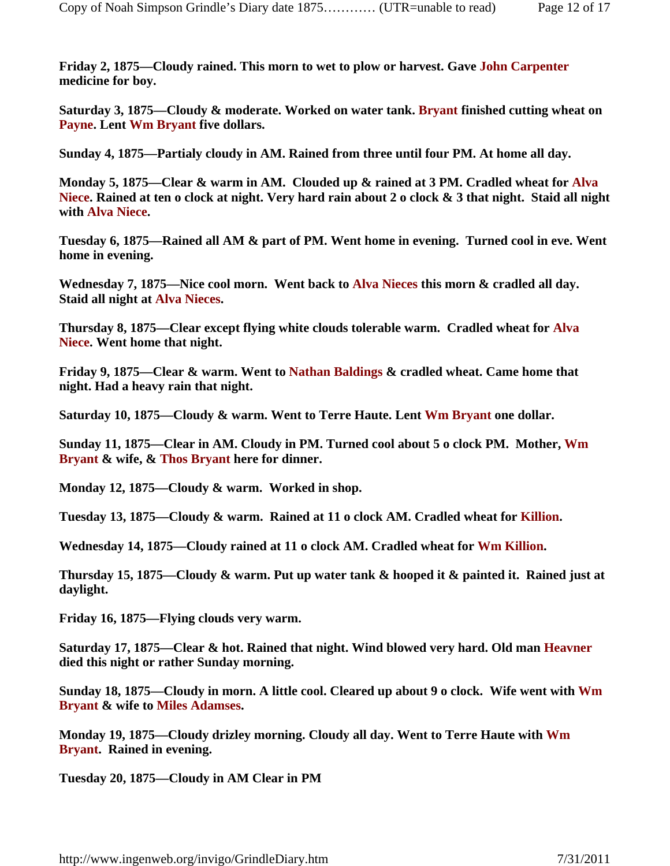**Friday 2, 1875—Cloudy rained. This morn to wet to plow or harvest. Gave John Carpenter medicine for boy.**

**Saturday 3, 1875—Cloudy & moderate. Worked on water tank. Bryant finished cutting wheat on Payne. Lent Wm Bryant five dollars.**

**Sunday 4, 1875—Partialy cloudy in AM. Rained from three until four PM. At home all day.**

**Monday 5, 1875—Clear & warm in AM. Clouded up & rained at 3 PM. Cradled wheat for Alva Niece. Rained at ten o clock at night. Very hard rain about 2 o clock & 3 that night. Staid all night with Alva Niece.**

**Tuesday 6, 1875—Rained all AM & part of PM. Went home in evening. Turned cool in eve. Went home in evening.**

**Wednesday 7, 1875—Nice cool morn. Went back to Alva Nieces this morn & cradled all day. Staid all night at Alva Nieces.**

**Thursday 8, 1875—Clear except flying white clouds tolerable warm. Cradled wheat for Alva Niece. Went home that night.**

**Friday 9, 1875—Clear & warm. Went to Nathan Baldings & cradled wheat. Came home that night. Had a heavy rain that night.**

**Saturday 10, 1875—Cloudy & warm. Went to Terre Haute. Lent Wm Bryant one dollar.**

**Sunday 11, 1875—Clear in AM. Cloudy in PM. Turned cool about 5 o clock PM. Mother, Wm Bryant & wife, & Thos Bryant here for dinner.**

**Monday 12, 1875—Cloudy & warm. Worked in shop.**

**Tuesday 13, 1875—Cloudy & warm. Rained at 11 o clock AM. Cradled wheat for Killion.** 

**Wednesday 14, 1875—Cloudy rained at 11 o clock AM. Cradled wheat for Wm Killion.**

**Thursday 15, 1875—Cloudy & warm. Put up water tank & hooped it & painted it. Rained just at daylight.**

**Friday 16, 1875—Flying clouds very warm.**

**Saturday 17, 1875—Clear & hot. Rained that night. Wind blowed very hard. Old man Heavner died this night or rather Sunday morning.**

**Sunday 18, 1875—Cloudy in morn. A little cool. Cleared up about 9 o clock. Wife went with Wm Bryant & wife to Miles Adamses.**

**Monday 19, 1875—Cloudy drizley morning. Cloudy all day. Went to Terre Haute with Wm Bryant. Rained in evening.**

**Tuesday 20, 1875—Cloudy in AM Clear in PM**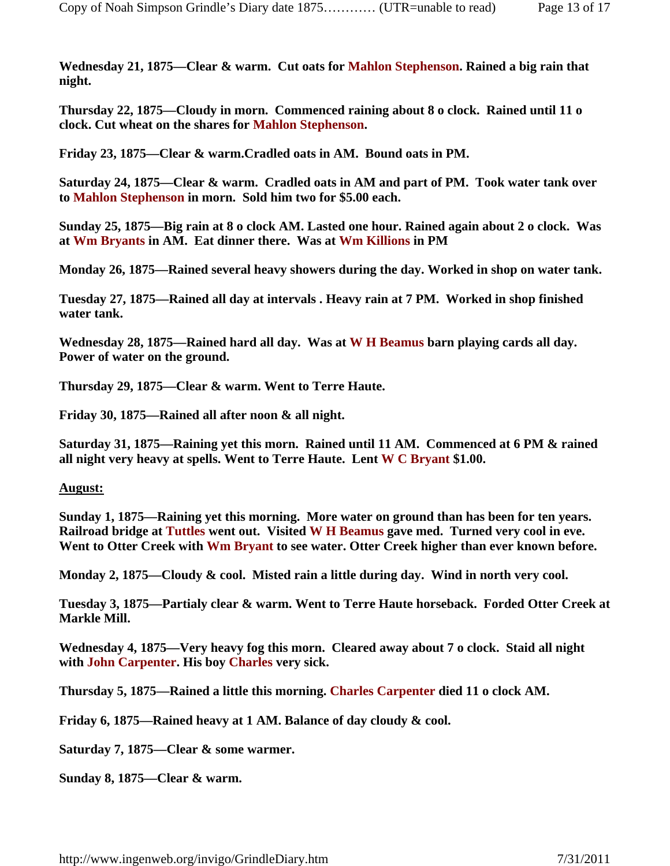**Wednesday 21, 1875—Clear & warm. Cut oats for Mahlon Stephenson. Rained a big rain that night.**

**Thursday 22, 1875—Cloudy in morn. Commenced raining about 8 o clock. Rained until 11 o clock. Cut wheat on the shares for Mahlon Stephenson.** 

**Friday 23, 1875—Clear & warm.Cradled oats in AM. Bound oats in PM.**

**Saturday 24, 1875—Clear & warm. Cradled oats in AM and part of PM. Took water tank over to Mahlon Stephenson in morn. Sold him two for \$5.00 each.**

**Sunday 25, 1875—Big rain at 8 o clock AM. Lasted one hour. Rained again about 2 o clock. Was at Wm Bryants in AM. Eat dinner there. Was at Wm Killions in PM**

**Monday 26, 1875—Rained several heavy showers during the day. Worked in shop on water tank.**

**Tuesday 27, 1875—Rained all day at intervals . Heavy rain at 7 PM. Worked in shop finished water tank.**

**Wednesday 28, 1875—Rained hard all day. Was at W H Beamus barn playing cards all day. Power of water on the ground.**

**Thursday 29, 1875—Clear & warm. Went to Terre Haute.**

**Friday 30, 1875—Rained all after noon & all night.** 

**Saturday 31, 1875—Raining yet this morn. Rained until 11 AM. Commenced at 6 PM & rained all night very heavy at spells. Went to Terre Haute. Lent W C Bryant \$1.00.**

## **August:**

**Sunday 1, 1875—Raining yet this morning. More water on ground than has been for ten years. Railroad bridge at Tuttles went out. Visited W H Beamus gave med. Turned very cool in eve. Went to Otter Creek with Wm Bryant to see water. Otter Creek higher than ever known before.**

**Monday 2, 1875—Cloudy & cool. Misted rain a little during day. Wind in north very cool.** 

**Tuesday 3, 1875—Partialy clear & warm. Went to Terre Haute horseback. Forded Otter Creek at Markle Mill.**

**Wednesday 4, 1875—Very heavy fog this morn. Cleared away about 7 o clock. Staid all night with John Carpenter. His boy Charles very sick.**

**Thursday 5, 1875—Rained a little this morning. Charles Carpenter died 11 o clock AM.**

**Friday 6, 1875—Rained heavy at 1 AM. Balance of day cloudy & cool.**

**Saturday 7, 1875—Clear & some warmer.**

**Sunday 8, 1875—Clear & warm.**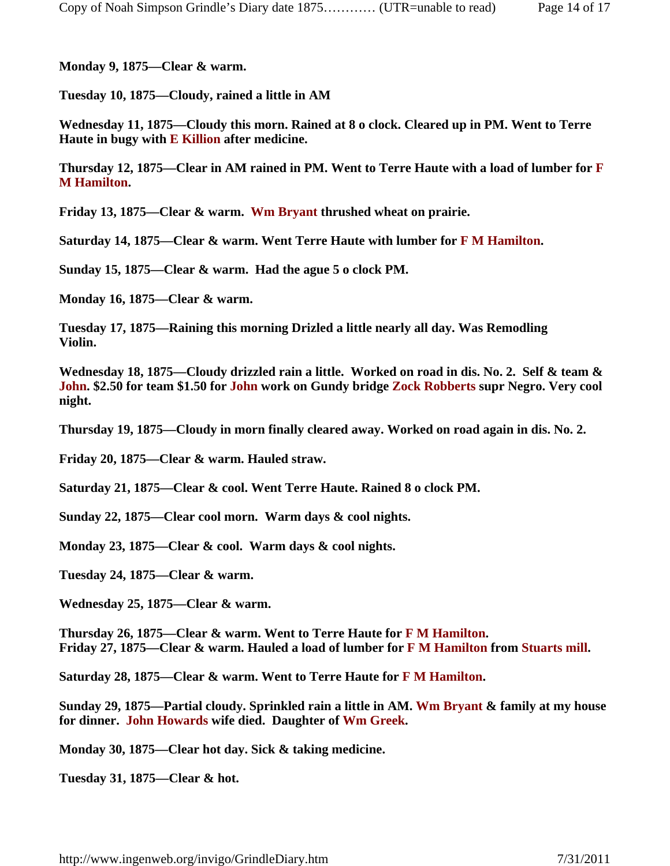**Monday 9, 1875—Clear & warm.**

**Tuesday 10, 1875—Cloudy, rained a little in AM**

**Wednesday 11, 1875—Cloudy this morn. Rained at 8 o clock. Cleared up in PM. Went to Terre Haute in bugy with E Killion after medicine.** 

**Thursday 12, 1875—Clear in AM rained in PM. Went to Terre Haute with a load of lumber for F M Hamilton.**

**Friday 13, 1875—Clear & warm. Wm Bryant thrushed wheat on prairie.** 

**Saturday 14, 1875—Clear & warm. Went Terre Haute with lumber for F M Hamilton.**

**Sunday 15, 1875—Clear & warm. Had the ague 5 o clock PM.**

**Monday 16, 1875—Clear & warm.**

**Tuesday 17, 1875—Raining this morning Drizled a little nearly all day. Was Remodling Violin.**

**Wednesday 18, 1875—Cloudy drizzled rain a little. Worked on road in dis. No. 2. Self & team & John. \$2.50 for team \$1.50 for John work on Gundy bridge Zock Robberts supr Negro. Very cool night.**

**Thursday 19, 1875—Cloudy in morn finally cleared away. Worked on road again in dis. No. 2.**

**Friday 20, 1875—Clear & warm. Hauled straw.**

**Saturday 21, 1875—Clear & cool. Went Terre Haute. Rained 8 o clock PM.**

**Sunday 22, 1875—Clear cool morn. Warm days & cool nights.**

**Monday 23, 1875—Clear & cool. Warm days & cool nights.**

**Tuesday 24, 1875—Clear & warm.**

**Wednesday 25, 1875—Clear & warm.**

**Thursday 26, 1875—Clear & warm. Went to Terre Haute for F M Hamilton. Friday 27, 1875—Clear & warm. Hauled a load of lumber for F M Hamilton from Stuarts mill.**

**Saturday 28, 1875—Clear & warm. Went to Terre Haute for F M Hamilton.**

**Sunday 29, 1875—Partial cloudy. Sprinkled rain a little in AM. Wm Bryant & family at my house for dinner. John Howards wife died. Daughter of Wm Greek.** 

**Monday 30, 1875—Clear hot day. Sick & taking medicine.**

**Tuesday 31, 1875—Clear & hot.**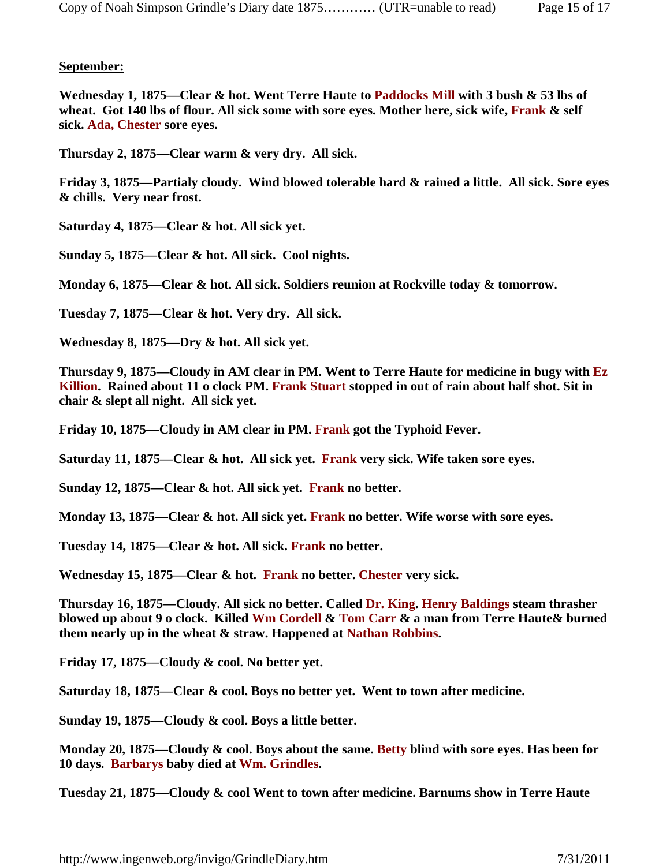## **September:**

**Wednesday 1, 1875—Clear & hot. Went Terre Haute to Paddocks Mill with 3 bush & 53 lbs of wheat. Got 140 lbs of flour. All sick some with sore eyes. Mother here, sick wife, Frank & self sick. Ada, Chester sore eyes.**

**Thursday 2, 1875—Clear warm & very dry. All sick.**

**Friday 3, 1875—Partialy cloudy. Wind blowed tolerable hard & rained a little. All sick. Sore eyes & chills. Very near frost.** 

**Saturday 4, 1875—Clear & hot. All sick yet.**

**Sunday 5, 1875—Clear & hot. All sick. Cool nights.** 

**Monday 6, 1875—Clear & hot. All sick. Soldiers reunion at Rockville today & tomorrow.**

**Tuesday 7, 1875—Clear & hot. Very dry. All sick.**

**Wednesday 8, 1875—Dry & hot. All sick yet.**

**Thursday 9, 1875—Cloudy in AM clear in PM. Went to Terre Haute for medicine in bugy with Ez Killion. Rained about 11 o clock PM. Frank Stuart stopped in out of rain about half shot. Sit in chair & slept all night. All sick yet.**

**Friday 10, 1875—Cloudy in AM clear in PM. Frank got the Typhoid Fever.**

**Saturday 11, 1875—Clear & hot. All sick yet. Frank very sick. Wife taken sore eyes.**

**Sunday 12, 1875—Clear & hot. All sick yet. Frank no better.**

**Monday 13, 1875—Clear & hot. All sick yet. Frank no better. Wife worse with sore eyes.**

**Tuesday 14, 1875—Clear & hot. All sick. Frank no better.**

**Wednesday 15, 1875—Clear & hot. Frank no better. Chester very sick.**

**Thursday 16, 1875—Cloudy. All sick no better. Called Dr. King. Henry Baldings steam thrasher blowed up about 9 o clock. Killed Wm Cordell & Tom Carr & a man from Terre Haute& burned them nearly up in the wheat & straw. Happened at Nathan Robbins.** 

**Friday 17, 1875—Cloudy & cool. No better yet.**

**Saturday 18, 1875—Clear & cool. Boys no better yet. Went to town after medicine.**

**Sunday 19, 1875—Cloudy & cool. Boys a little better.**

**Monday 20, 1875—Cloudy & cool. Boys about the same. Betty blind with sore eyes. Has been for 10 days. Barbarys baby died at Wm. Grindles.**

**Tuesday 21, 1875—Cloudy & cool Went to town after medicine. Barnums show in Terre Haute**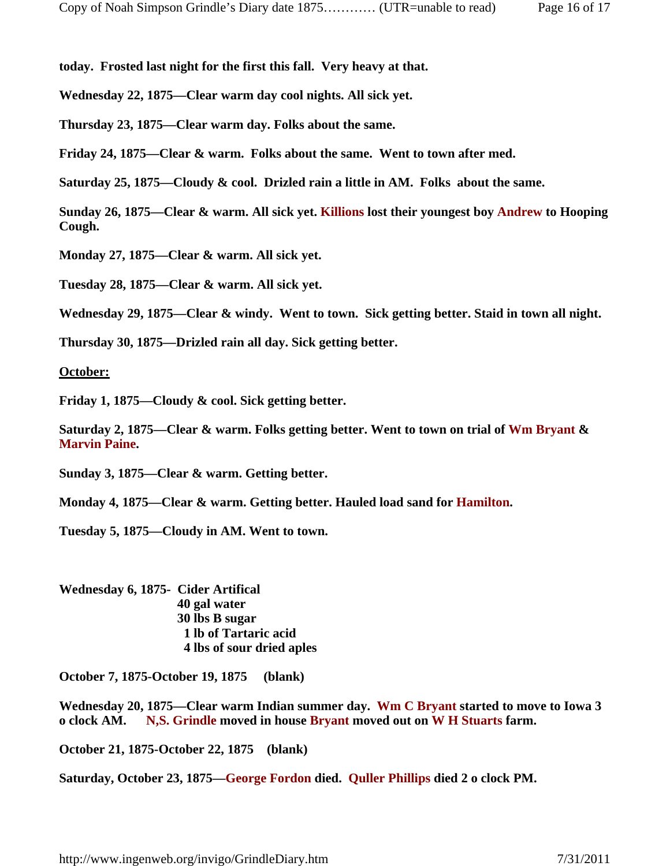**today. Frosted last night for the first this fall. Very heavy at that.**

**Wednesday 22, 1875—Clear warm day cool nights. All sick yet.**

**Thursday 23, 1875—Clear warm day. Folks about the same.**

**Friday 24, 1875—Clear & warm. Folks about the same. Went to town after med.** 

**Saturday 25, 1875—Cloudy & cool. Drizled rain a little in AM. Folks about the same.**

**Sunday 26, 1875—Clear & warm. All sick yet. Killions lost their youngest boy Andrew to Hooping Cough.** 

**Monday 27, 1875—Clear & warm. All sick yet.**

**Tuesday 28, 1875—Clear & warm. All sick yet.**

**Wednesday 29, 1875—Clear & windy. Went to town. Sick getting better. Staid in town all night.**

**Thursday 30, 1875—Drizled rain all day. Sick getting better.**

**October:**

**Friday 1, 1875—Cloudy & cool. Sick getting better.**

**Saturday 2, 1875—Clear & warm. Folks getting better. Went to town on trial of Wm Bryant & Marvin Paine.**

**Sunday 3, 1875—Clear & warm. Getting better.**

**Monday 4, 1875—Clear & warm. Getting better. Hauled load sand for Hamilton.**

**Tuesday 5, 1875—Cloudy in AM. Went to town.**

**Wednesday 6, 1875- Cider Artifical 40 gal water 30 lbs B sugar 1 lb of Tartaric acid 4 lbs of sour dried aples**

**October 7, 1875-October 19, 1875 (blank)**

**Wednesday 20, 1875—Clear warm Indian summer day. Wm C Bryant started to move to Iowa 3 o clock AM. N,S. Grindle moved in house Bryant moved out on W H Stuarts farm.** 

**October 21, 1875-October 22, 1875 (blank)**

**Saturday, October 23, 1875—George Fordon died. Quller Phillips died 2 o clock PM.**